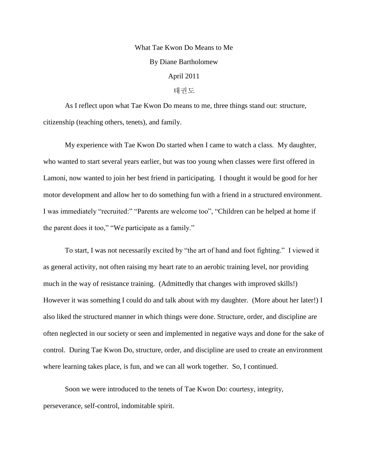## What Tae Kwon Do Means to Me By Diane Bartholomew April 2011 태권도

As I reflect upon what Tae Kwon Do means to me, three things stand out: structure, citizenship (teaching others, tenets), and family.

My experience with Tae Kwon Do started when I came to watch a class. My daughter, who wanted to start several years earlier, but was too young when classes were first offered in Lamoni, now wanted to join her best friend in participating. I thought it would be good for her motor development and allow her to do something fun with a friend in a structured environment. I was immediately "recruited:" "Parents are welcome too", "Children can be helped at home if the parent does it too," "We participate as a family."

To start, I was not necessarily excited by "the art of hand and foot fighting." I viewed it as general activity, not often raising my heart rate to an aerobic training level, nor providing much in the way of resistance training. (Admittedly that changes with improved skills!) However it was something I could do and talk about with my daughter. (More about her later!) I also liked the structured manner in which things were done. Structure, order, and discipline are often neglected in our society or seen and implemented in negative ways and done for the sake of control. During Tae Kwon Do, structure, order, and discipline are used to create an environment where learning takes place, is fun, and we can all work together. So, I continued.

Soon we were introduced to the tenets of Tae Kwon Do: courtesy, integrity, perseverance, self-control, indomitable spirit.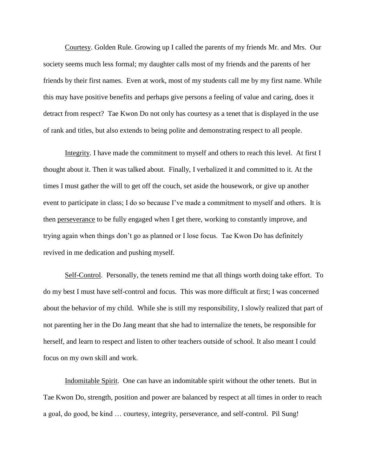Courtesy. Golden Rule. Growing up I called the parents of my friends Mr. and Mrs. Our society seems much less formal; my daughter calls most of my friends and the parents of her friends by their first names. Even at work, most of my students call me by my first name. While this may have positive benefits and perhaps give persons a feeling of value and caring, does it detract from respect? Tae Kwon Do not only has courtesy as a tenet that is displayed in the use of rank and titles, but also extends to being polite and demonstrating respect to all people.

Integrity. I have made the commitment to myself and others to reach this level. At first I thought about it. Then it was talked about. Finally, I verbalized it and committed to it. At the times I must gather the will to get off the couch, set aside the housework, or give up another event to participate in class; I do so because I've made a commitment to myself and others. It is then perseverance to be fully engaged when I get there, working to constantly improve, and trying again when things don't go as planned or I lose focus. Tae Kwon Do has definitely revived in me dedication and pushing myself.

Self-Control. Personally, the tenets remind me that all things worth doing take effort. To do my best I must have self-control and focus. This was more difficult at first; I was concerned about the behavior of my child. While she is still my responsibility, I slowly realized that part of not parenting her in the Do Jang meant that she had to internalize the tenets, be responsible for herself, and learn to respect and listen to other teachers outside of school. It also meant I could focus on my own skill and work.

Indomitable Spirit. One can have an indomitable spirit without the other tenets. But in Tae Kwon Do, strength, position and power are balanced by respect at all times in order to reach a goal, do good, be kind … courtesy, integrity, perseverance, and self-control. Pil Sung!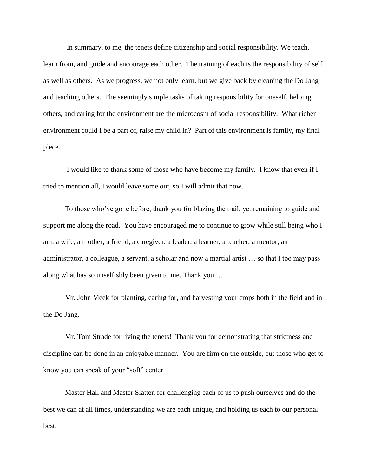In summary, to me, the tenets define citizenship and social responsibility. We teach, learn from, and guide and encourage each other. The training of each is the responsibility of self as well as others. As we progress, we not only learn, but we give back by cleaning the Do Jang and teaching others. The seemingly simple tasks of taking responsibility for oneself, helping others, and caring for the environment are the microcosm of social responsibility. What richer environment could I be a part of, raise my child in? Part of this environment is family, my final piece.

I would like to thank some of those who have become my family. I know that even if I tried to mention all, I would leave some out, so I will admit that now.

To those who've gone before, thank you for blazing the trail, yet remaining to guide and support me along the road. You have encouraged me to continue to grow while still being who I am: a wife, a mother, a friend, a caregiver, a leader, a learner, a teacher, a mentor, an administrator, a colleague, a servant, a scholar and now a martial artist … so that I too may pass along what has so unselfishly been given to me. Thank you …

Mr. John Meek for planting, caring for, and harvesting your crops both in the field and in the Do Jang.

Mr. Tom Strade for living the tenets! Thank you for demonstrating that strictness and discipline can be done in an enjoyable manner. You are firm on the outside, but those who get to know you can speak of your "soft" center.

Master Hall and Master Slatten for challenging each of us to push ourselves and do the best we can at all times, understanding we are each unique, and holding us each to our personal best.